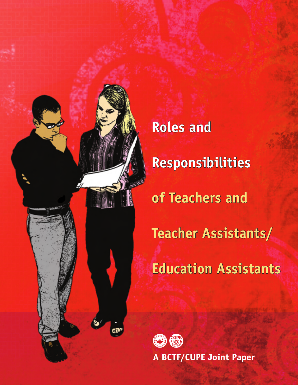

**Roles and Responsibilities of Teachers and Teacher Assistants/ Education Assistants**



**A BCTF/CUPE Joint Paper**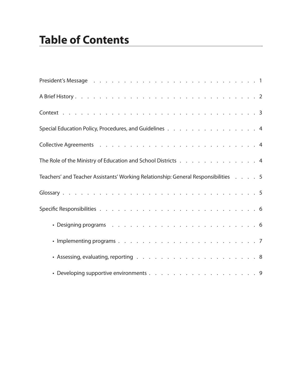| Special Education Policy, Procedures, and Guidelines 4                             |  |  |  |
|------------------------------------------------------------------------------------|--|--|--|
|                                                                                    |  |  |  |
| The Role of the Ministry of Education and School Districts 4                       |  |  |  |
| Teachers' and Teacher Assistants' Working Relationship: General Responsibilities 5 |  |  |  |
|                                                                                    |  |  |  |
|                                                                                    |  |  |  |
|                                                                                    |  |  |  |
|                                                                                    |  |  |  |
|                                                                                    |  |  |  |
|                                                                                    |  |  |  |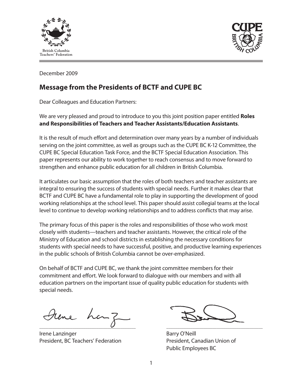



December 2009

## **Message from the Presidents of BCTF and CUPE BC**

Dear Colleagues and Education Partners:

We are very pleased and proud to introduce to you this joint position paper entitled **Roles and Responsibilities of Teachers and Teacher Assistants/Education Assistants**.

It is the result of much effort and determination over many years by a number of individuals serving on the joint committee, as well as groups such as the CUPE BC K-12 Committee, the CUPE BC Special Education Task Force, and the BCTF Special Education Association. This paper represents our ability to work together to reach consensus and to move forward to strengthen and enhance public education for all children in British Columbia.

It articulates our basic assumption that the roles of both teachers and teacher assistants are integral to ensuring the success of students with special needs. Further it makes clear that BCTF and CUPE BC have a fundamental role to play in supporting the development of good working relationships at the school level. This paper should assist collegial teams at the local level to continue to develop working relationships and to address conflicts that may arise.

The primary focus of this paper is the roles and responsibilities of those who work most closely with students—teachers and teacher assistants. However, the critical role of the Ministry of Education and school districts in establishing the necessary conditions for students with special needs to have successful, positive, and productive learning experiences in the public schools of British Columbia cannot be over-emphasized.

On behalf of BCTF and CUPE BC, we thank the joint committee members for their commitment and effort. We look forward to dialogue with our members and with all education partners on the important issue of quality public education for students with special needs.

 $\overline{\mathcal{C}}$  , and the set of the set of the set of the set of the set of the set of the set of the set of the set of the set of the set of the set of the set of the set of the set of the set of the set of the set of the s

**Irene Lanzinger Barry O'Neill** President, BC Teachers' Federation President, Canadian Union of

Public Employees BC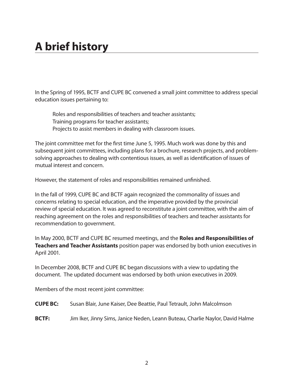# **A brief history**

In the Spring of 1995, BCTF and CUPE BC convened a small joint committee to address special education issues pertaining to:

Roles and responsibilities of teachers and teacher assistants; Training programs for teacher assistants; Projects to assist members in dealing with classroom issues.

The joint committee met for the first time June 5, 1995. Much work was done by this and subsequent joint committees, including plans for a brochure, research projects, and problemsolving approaches to dealing with contentious issues, as well as identification of issues of mutual interest and concern.

However, the statement of roles and responsibilities remained unfinished.

In the fall of 1999, CUPE BC and BCTF again recognized the commonality of issues and concerns relating to special education, and the imperative provided by the provincial review of special education. It was agreed to reconstitute a joint committee, with the aim of reaching agreement on the roles and responsibilities of teachers and teacher assistants for recommendation to government.

In May 2000, BCTF and CUPE BC resumed meetings, and the **Roles and Responsibilities of Teachers and Teacher Assistants** position paper was endorsed by both union executives in April 2001.

In December 2008, BCTF and CUPE BC began discussions with a view to updating the document. The updated document was endorsed by both union executives in 2009.

Members of the most recent joint committee:

- **CUPE BC:** Susan Blair, June Kaiser, Dee Beattie, Paul Tetrault, John Malcolmson
- **BCTF:** Jim Iker, Jinny Sims, Janice Neden, Leann Buteau, Charlie Naylor, David Halme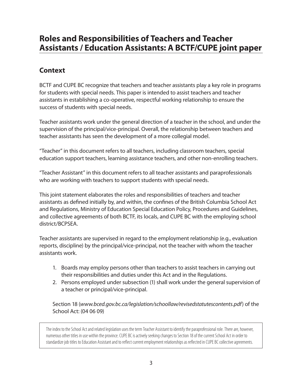# **Roles and Responsibilities of Teachers and Teacher Assistants / Education Assistants: A BCTF/CUPE joint paper**

## **Context**

BCTF and CUPE BC recognize that teachers and teacher assistants play a key role in programs for students with special needs. This paper is intended to assist teachers and teacher assistants in establishing a co-operative, respectful working relationship to ensure the success of students with special needs.

Teacher assistants work under the general direction of a teacher in the school, and under the supervision of the principal/vice-principal. Overall, the relationship between teachers and teacher assistants has seen the development of a more collegial model.

"Teacher" in this document refers to all teachers, including classroom teachers, special education support teachers, learning assistance teachers, and other non-enrolling teachers.

"Teacher Assistant" in this document refers to all teacher assistants and paraprofessionals who are working with teachers to support students with special needs.

This joint statement elaborates the roles and responsibilities of teachers and teacher assistants as defined initially by, and within, the confines of the British Columbia School Act and Regulations, Ministry of Education Special Education Policy, Procedures and Guidelines, and collective agreements of both BCTF, its locals, and CUPE BC with the employing school district/BCPSEA.

Teacher assistants are supervised in regard to the employment relationship (e.g., evaluation reports, discipline) by the principal/vice-principal, not the teacher with whom the teacher assistants work.

- 1. Boards may employ persons other than teachers to assist teachers in carrying out their responsibilities and duties under this Act and in the Regulations.
- 2. Persons employed under subsection (1) shall work under the general supervision of a teacher or principal/vice-principal.

Section 18 (*www.bced.gov.bc.ca/legislation/schoollaw/revisedstatutescontents.pdf*) of the School Act: (04 06 09)

The index to the School Act and related legislation uses the term Teacher Assistant to identify the paraprofessional role. There are, however, numerous other titles in use within the province. CUPE BC is actively seeking changes to Section 18 of the current School Act in order to standardize job titles to Education Assistant and to reflect current employment relationships as reflected in CUPE BC collective agreements.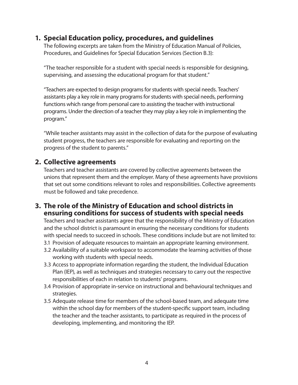#### **1. Special Education policy, procedures, and guidelines**

The following excerpts are taken from the Ministry of Education Manual of Policies, Procedures, and Guidelines for Special Education Services (Section B.3):

"The teacher responsible for a student with special needs is responsible for designing, supervising, and assessing the educational program for that student."

"Teachers are expected to design programs for students with special needs. Teachers' assistants play a key role in many programs for students with special needs, performing functions which range from personal care to assisting the teacher with instructional programs. Under the direction of a teacher they may play a key role in implementing the program."

"While teacher assistants may assist in the collection of data for the purpose of evaluating student progress, the teachers are responsible for evaluating and reporting on the progress of the student to parents."

#### **2. Collective agreements**

Teachers and teacher assistants are covered by collective agreements between the unions that represent them and the employer. Many of these agreements have provisions that set out some conditions relevant to roles and responsibilities. Collective agreements must be followed and take precedence.

#### **3. The role of the Ministry of Education and school districts in ensuring conditions for success of students with special needs**

Teachers and teacher assistants agree that the responsibility of the Ministry of Education and the school district is paramount in ensuring the necessary conditions for students with special needs to succeed in schools. These conditions include but are not limited to:

- 3.1 Provision of adequate resources to maintain an appropriate learning environment.
- 3.2 Availability of a suitable workspace to accommodate the learning activities of those working with students with special needs.
- 3.3 Access to appropriate information regarding the student, the Individual Education Plan (IEP), as well as techniques and strategies necessary to carry out the respective responsibilities of each in relation to students' programs.
- 3.4 Provision of appropriate in-service on instructional and behavioural techniques and strategies.
- 3.5 Adequate release time for members of the school-based team, and adequate time within the school day for members of the student-specific support team, including the teacher and the teacher assistants, to participate as required in the process of developing, implementing, and monitoring the IEP.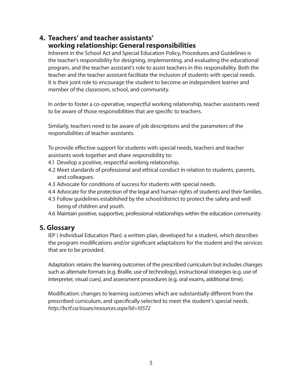#### **4. Teachers' and teacher assistants' working relationship: General responsibilities**

Inherent in the School Act and Special Education Policy, Procedures and Guidelines is the teacher's responsibility for designing, implementing, and evaluating the educational program, and the teacher assistant's role to assist teachers in this responsibility. Both the teacher and the teacher assistant facilitate the inclusion of students with special needs. It is their joint role to encourage the student to become an independent learner and member of the classroom, school, and community.

In order to foster a co-operative, respectful working relationship, teacher assistants need to be aware of those responsibilities that are specific to teachers.

Similarly, teachers need to be aware of job descriptions and the parameters of the responsibilities of teacher assistants.

To provide effective support for students with special needs, teachers and teacher assistants work together and share responsibility to:

- 4.1 Develop a positive, respectful working relationship.
- 4.2 Meet standards of professional and ethical conduct in relation to students, parents, and colleagues.
- 4.3 Advocate for conditions of success for students with special needs.
- 4.4 Advocate for the protection of the legal and human rights of students and their families.
- 4.5 Follow guidelines established by the school/district to protect the safety and well being of children and youth.
- 4.6 Maintain positive, supportive, professional relationships within the education community.

#### **5. Glossary**

IEP ( Individual Education Plan): a written plan, developed for a student, which describes the program modifications and/or significant adaptations for the student and the services that are to be provided.

Adaptation: retains the learning outcomes of the prescribed curriculum but includes changes such as alternate formats (e.g. Braille, use of technology), instructional strategies (e.g. use of interpreter, visual cues), and assessment procedures (e.g. oral exams, additional time).

Modification: changes to learning outcomes which are substantially different from the prescribed curriculum, and specifically selected to meet the student's special needs. *http://bctf.ca/issues/resources.aspx?id=10572*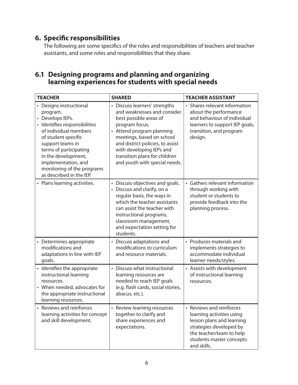## **6. Specific responsibilities**

The following are some specifics of the roles and responsibilities of teachers and teacher assistants, and some roles and responsibilities that they share.

#### **6.1 Designing programs and planning and organizing learning experiences for students with special needs**

| <b>TEACHER</b>                                                                                                                                                                                                                                                                                 | <b>SHARED</b>                                                                                                                                                                                                                                                                                        | <b>TEACHER ASSISTANT</b>                                                                                                                                                             |  |  |
|------------------------------------------------------------------------------------------------------------------------------------------------------------------------------------------------------------------------------------------------------------------------------------------------|------------------------------------------------------------------------------------------------------------------------------------------------------------------------------------------------------------------------------------------------------------------------------------------------------|--------------------------------------------------------------------------------------------------------------------------------------------------------------------------------------|--|--|
| • Designs instructional<br>program.<br>• Develops IEPs.<br>· Identifies responsibilities<br>of individual members<br>of student specific<br>support teams in<br>terms of participating<br>in the development,<br>implementation, and<br>monitoring of the programs<br>as described in the IEP. | • Discuss learners' strengths<br>and weaknesses and consider<br>best possible areas of<br>program focus.<br>• Attend program planning<br>meetings, based on school<br>and district policies, to assist<br>with developing IEPs and<br>transition plans for children<br>and youth with special needs. | • Shares relevant information<br>about the performance<br>and behaviour of individual<br>learners to support IEP goals,<br>transition, and program<br>design.                        |  |  |
| • Plans learning activities.                                                                                                                                                                                                                                                                   | • Discuss objectives and goals.<br>• Discuss and clarify, on a<br>regular basis, the ways in<br>which the teacher assistants<br>can assist the teacher with<br>instructional programs,<br>classroom management,<br>and expectation setting for<br>students.                                          | • Gathers relevant information<br>through working with<br>student or students to<br>provide feedback into the<br>planning process.                                                   |  |  |
| • Determines appropriate<br>modifications and<br>adaptations in line with IEP<br>goals.                                                                                                                                                                                                        | • Discuss adaptations and<br>modifications to curriculum<br>and resource materials.                                                                                                                                                                                                                  | • Produces materials and<br>implements strategies to<br>accommodate individual<br>learner needs/styles.                                                                              |  |  |
| • Identifies the appropriate<br>instructional learning<br>resources.<br>• When needed, advocates for<br>the appropriate instructional<br>learning resources.                                                                                                                                   | • Discuss what instructional<br>learning resources are<br>needed to reach IEP goals<br>(e.g. flash cards, social stories,<br>abacus, etc.).                                                                                                                                                          | • Assists with development<br>of instructional learning<br>resources.                                                                                                                |  |  |
| • Reviews and reinforces<br>learning activities for concept<br>and skill development.                                                                                                                                                                                                          | • Review learning resources<br>together to clarify and<br>share experiences and<br>expectations.                                                                                                                                                                                                     | • Reviews and reinforces<br>learning activities using<br>lesson plans and learning<br>strategies developed by<br>the teacher/team to help<br>students master concepts<br>and skills. |  |  |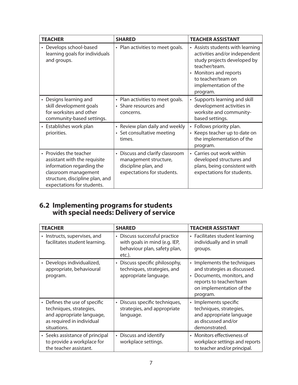| <b>TEACHER</b>                                                                                                                                                               | <b>SHARED</b>                                                                                                  | <b>TEACHER ASSISTANT</b>                                                                                                                                                                               |  |  |
|------------------------------------------------------------------------------------------------------------------------------------------------------------------------------|----------------------------------------------------------------------------------------------------------------|--------------------------------------------------------------------------------------------------------------------------------------------------------------------------------------------------------|--|--|
| • Develops school-based<br>learning goals for individuals<br>and groups.                                                                                                     | • Plan activities to meet goals.                                                                               | • Assists students with learning<br>activities and/or independent<br>study projects developed by<br>teacher/team.<br>• Monitors and reports<br>to teacher/team on<br>implementation of the<br>program. |  |  |
| Designs learning and<br>$\bullet$<br>skill development goals<br>for worksites and other<br>community-based settings.                                                         | • Plan activities to meet goals.<br>• Share resources and<br>concerns.                                         | • Supports learning and skill<br>development activities in<br>worksite and community-<br>based settings.                                                                                               |  |  |
| • Establishes work plan<br>priorities.                                                                                                                                       | • Review plan daily and weekly<br>• Set consultative meeting<br>times.                                         | • Follows priority plan.<br>• Keeps teacher up to date on<br>the implementation of the<br>program.                                                                                                     |  |  |
| • Provides the teacher<br>assistant with the requisite<br>information regarding the<br>classroom management<br>structure, discipline plan, and<br>expectations for students. | • Discuss and clarify classroom<br>management structure,<br>discipline plan, and<br>expectations for students. | • Carries out work within<br>developed structures and<br>plans, being consistent with<br>expectations for students.                                                                                    |  |  |

#### **6.2 Implementing programs for students with special needs: Delivery of service**

| <b>TEACHER</b>                                                                                                                               | <b>SHARED</b>                                                                                            | <b>TEACHER ASSISTANT</b>                                                                                                                                   |
|----------------------------------------------------------------------------------------------------------------------------------------------|----------------------------------------------------------------------------------------------------------|------------------------------------------------------------------------------------------------------------------------------------------------------------|
| • Instructs, supervises, and<br>facilitates student learning.                                                                                | • Discuss successful practice<br>with goals in mind (e.g. IEP,<br>behaviour plan, safety plan,<br>etc.). | • Facilitates student learning<br>individually and in small<br>groups.                                                                                     |
| Develops individualized,<br>appropriate, behavioural<br>program.                                                                             | • Discuss specific philosophy,<br>techniques, strategies, and<br>appropriate language.                   | • Implements the techniques<br>and strategies as discussed.<br>Documents, monitors, and<br>reports to teacher/team<br>on implementation of the<br>program. |
| Defines the use of specific<br>$\bullet$<br>techniques, strategies,<br>and appropriate language,<br>as required in individual<br>situations. | • Discuss specific techniques,<br>strategies, and appropriate<br>language.                               | Implements specific<br>$\bullet$<br>techniques, strategies,<br>and appropriate language<br>as discussed and/or<br>demonstrated.                            |
| • Seeks assistance of principal<br>to provide a workplace for<br>the teacher assistant.                                                      | • Discuss and identify<br>workplace settings.                                                            | • Monitors effectiveness of<br>workplace settings and reports<br>to teacher and/or principal.                                                              |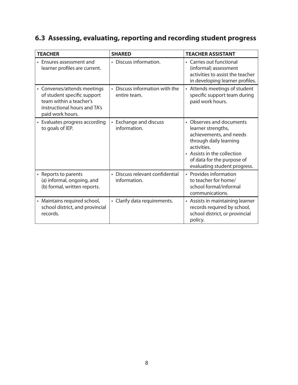# **6.3 Assessing, evaluating, reporting and recording student progress**

| <b>TEACHER</b>                                                                                                                            | <b>SHARED</b>                                   | <b>TEACHER ASSISTANT</b>                                                                                                                                                                                        |
|-------------------------------------------------------------------------------------------------------------------------------------------|-------------------------------------------------|-----------------------------------------------------------------------------------------------------------------------------------------------------------------------------------------------------------------|
| Ensures assessment and<br>$\bullet$<br>learner profiles are current.                                                                      | • Discuss information.                          | • Carries out functional<br>(informal) assessment<br>activities to assist the teacher<br>in developing learner profiles.                                                                                        |
| • Convenes/attends meetings<br>of student specific support<br>team within a teacher's<br>instructional hours and TA's<br>paid work hours. | • Discuss information with the<br>entire team.  | • Attends meetings of student<br>specific support team during<br>paid work hours.                                                                                                                               |
| • Evaluates progress according<br>to goals of IEP.                                                                                        | • Exchange and discuss<br>information.          | • Observes and documents<br>learner strengths,<br>achievements, and needs<br>through daily learning<br>activities.<br>• Assists in the collection<br>of data for the purpose of<br>evaluating student progress. |
| • Reports to parents<br>(a) informal, ongoing, and<br>(b) formal, written reports.                                                        | • Discuss relevant confidential<br>information. | • Provides information<br>to teacher for home/<br>school formal/informal<br>communications.                                                                                                                     |
| • Maintains required school,<br>school district, and provincial<br>records.                                                               | • Clarify data requirements.                    | • Assists in maintaining learner<br>records required by school,<br>school district, or provincial<br>policy.                                                                                                    |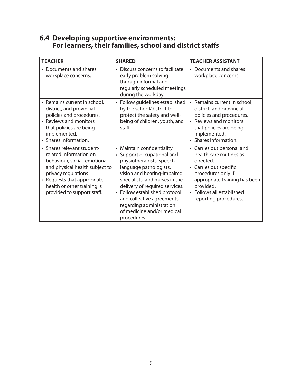| <b>TEACHER</b>                                                                                                                                                                                                                             | <b>SHARED</b>                                                                                                                                                                                                                                                                                                                                              | <b>TEACHER ASSISTANT</b>                                                                                                                                                                                                          |
|--------------------------------------------------------------------------------------------------------------------------------------------------------------------------------------------------------------------------------------------|------------------------------------------------------------------------------------------------------------------------------------------------------------------------------------------------------------------------------------------------------------------------------------------------------------------------------------------------------------|-----------------------------------------------------------------------------------------------------------------------------------------------------------------------------------------------------------------------------------|
| • Documents and shares<br>workplace concerns.                                                                                                                                                                                              | • Discuss concerns to facilitate<br>early problem solving<br>through informal and<br>regularly scheduled meetings<br>during the workday.                                                                                                                                                                                                                   | Documents and shares<br>workplace concerns.                                                                                                                                                                                       |
| • Remains current in school,<br>district, and provincial<br>policies and procedures.<br>• Reviews and monitors<br>that policies are being<br>implemented.<br>• Shares information.                                                         | • Follow guidelines established<br>by the school/district to<br>protect the safety and well-<br>being of children, youth, and<br>staff.                                                                                                                                                                                                                    | • Remains current in school,<br>district, and provincial<br>policies and procedures.<br>• Reviews and monitors<br>that policies are being<br>implemented.<br>• Shares information.                                                |
| • Shares relevant student-<br>related information on<br>behaviour, social, emotional,<br>and physical health subject to<br>privacy regulations<br>• Requests that appropriate<br>health or other training is<br>provided to support staff. | • Maintain confidentiality.<br>• Support occupational and<br>physiotherapists, speech-<br>language pathologists,<br>vision and hearing-impaired<br>specialists, and nurses in the<br>delivery of required services.<br>• Follow established protocol<br>and collective agreements<br>regarding administration<br>of medicine and/or medical<br>procedures. | • Carries out personal and<br>health care routines as<br>directed.<br>Carries out specific<br>$\bullet$<br>procedures only if<br>appropriate training has been<br>provided.<br>• Follows all established<br>reporting procedures. |

#### **6.4 Developing supportive environments: For learners, their families, school and district staffs**